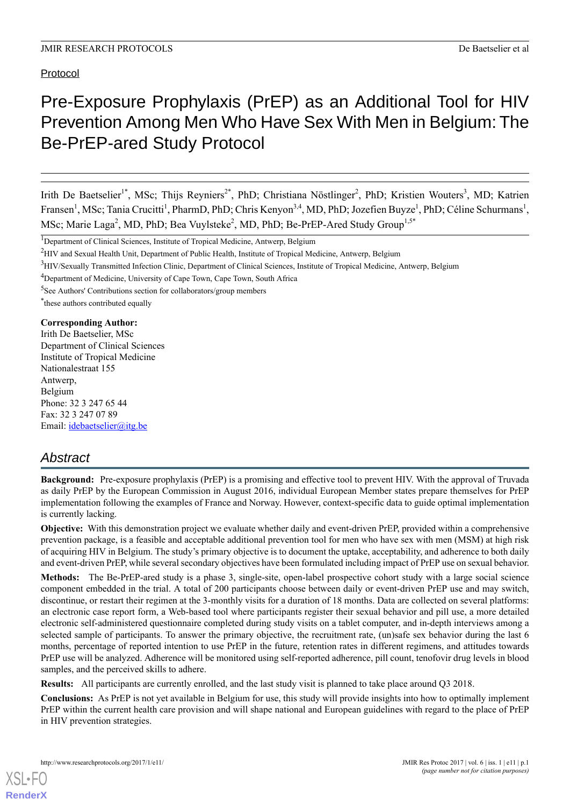Protocol

# Pre-Exposure Prophylaxis (PrEP) as an Additional Tool for HIV Prevention Among Men Who Have Sex With Men in Belgium: The Be-PrEP-ared Study Protocol

Irith De Baetselier<sup>1\*</sup>, MSc; Thijs Reyniers<sup>2\*</sup>, PhD; Christiana Nöstlinger<sup>2</sup>, PhD; Kristien Wouters<sup>3</sup>, MD; Katrien Fransen<sup>1</sup>, MSc; Tania Crucitti<sup>1</sup>, PharmD, PhD; Chris Kenyon<sup>3,4</sup>, MD, PhD; Jozefien Buyze<sup>1</sup>, PhD; Céline Schurmans<sup>1</sup>, MSc; Marie Laga<sup>2</sup>, MD, PhD; Bea Vuylsteke<sup>2</sup>, MD, PhD; Be-PrEP-Ared Study Group<sup>1,5\*</sup>

<sup>4</sup>Department of Medicine, University of Cape Town, Cape Town, South Africa

\* these authors contributed equally

**Corresponding Author:** Irith De Baetselier, MSc Department of Clinical Sciences Institute of Tropical Medicine Nationalestraat 155 Antwerp, Belgium Phone: 32 3 247 65 44 Fax: 32 3 247 07 89 Email: [idebaetselier@itg.be](mailto:idebaetselier@itg.be)

## *Abstract*

**Background:** Pre-exposure prophylaxis (PrEP) is a promising and effective tool to prevent HIV. With the approval of Truvada as daily PrEP by the European Commission in August 2016, individual European Member states prepare themselves for PrEP implementation following the examples of France and Norway. However, context-specific data to guide optimal implementation is currently lacking.

**Objective:** With this demonstration project we evaluate whether daily and event-driven PrEP, provided within a comprehensive prevention package, is a feasible and acceptable additional prevention tool for men who have sex with men (MSM) at high risk of acquiring HIV in Belgium. The study's primary objective is to document the uptake, acceptability, and adherence to both daily and event-driven PrEP, while several secondary objectives have been formulated including impact of PrEP use on sexual behavior.

**Methods:** The Be-PrEP-ared study is a phase 3, single-site, open-label prospective cohort study with a large social science component embedded in the trial. A total of 200 participants choose between daily or event-driven PrEP use and may switch, discontinue, or restart their regimen at the 3-monthly visits for a duration of 18 months. Data are collected on several platforms: an electronic case report form, a Web-based tool where participants register their sexual behavior and pill use, a more detailed electronic self-administered questionnaire completed during study visits on a tablet computer, and in-depth interviews among a selected sample of participants. To answer the primary objective, the recruitment rate, (un)safe sex behavior during the last 6 months, percentage of reported intention to use PrEP in the future, retention rates in different regimens, and attitudes towards PrEP use will be analyzed. Adherence will be monitored using self-reported adherence, pill count, tenofovir drug levels in blood samples, and the perceived skills to adhere.

**Results:** All participants are currently enrolled, and the last study visit is planned to take place around Q3 2018.

**Conclusions:** As PrEP is not yet available in Belgium for use, this study will provide insights into how to optimally implement PrEP within the current health care provision and will shape national and European guidelines with regard to the place of PrEP in HIV prevention strategies.

[XSL](http://www.w3.org/Style/XSL)•FO **[RenderX](http://www.renderx.com/)**

<sup>&</sup>lt;sup>1</sup>Department of Clinical Sciences, Institute of Tropical Medicine, Antwerp, Belgium

<sup>&</sup>lt;sup>2</sup>HIV and Sexual Health Unit, Department of Public Health, Institute of Tropical Medicine, Antwerp, Belgium

<sup>&</sup>lt;sup>3</sup>HIV/Sexually Transmitted Infection Clinic, Department of Clinical Sciences, Institute of Tropical Medicine, Antwerp, Belgium

<sup>5</sup> See Authors' Contributions section for collaborators/group members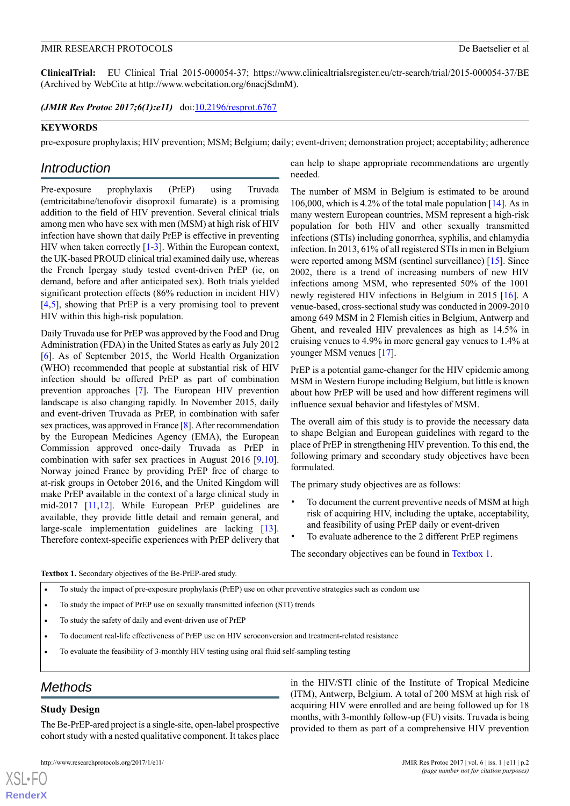**ClinicalTrial:** EU Clinical Trial 2015-000054-37; https://www.clinicaltrialsregister.eu/ctr-search/trial/2015-000054-37/BE (Archived by WebCite at http://www.webcitation.org/6nacjSdmM).

*(JMIR Res Protoc 2017;6(1):e11)* doi:*[10.2196/resprot.6767](http://dx.doi.org/10.2196/resprot.6767)* 

#### **KEYWORDS**

pre-exposure prophylaxis; HIV prevention; MSM; Belgium; daily; event-driven; demonstration project; acceptability; adherence

## *Introduction*

Pre-exposure prophylaxis (PrEP) using Truvada (emtricitabine/tenofovir disoproxil fumarate) is a promising addition to the field of HIV prevention. Several clinical trials among men who have sex with men (MSM) at high risk of HIV infection have shown that daily PrEP is effective in preventing HIV when taken correctly [[1-](#page-10-0)[3\]](#page-10-1). Within the European context, the UK-based PROUD clinical trial examined daily use, whereas the French Ipergay study tested event-driven PrEP (ie, on demand, before and after anticipated sex). Both trials yielded significant protection effects (86% reduction in incident HIV) [[4](#page-10-2)[,5](#page-10-3)], showing that PrEP is a very promising tool to prevent HIV within this high-risk population.

Daily Truvada use for PrEP was approved by the Food and Drug Administration (FDA) in the United States as early as July 2012 [[6\]](#page-10-4). As of September 2015, the World Health Organization (WHO) recommended that people at substantial risk of HIV infection should be offered PrEP as part of combination prevention approaches [\[7\]](#page-10-5). The European HIV prevention landscape is also changing rapidly. In November 2015, daily and event-driven Truvada as PrEP, in combination with safer sex practices, was approved in France [[8](#page-10-6)]. After recommendation by the European Medicines Agency (EMA), the European Commission approved once-daily Truvada as PrEP in combination with safer sex practices in August 2016 [\[9](#page-10-7),[10\]](#page-10-8). Norway joined France by providing PrEP free of charge to at-risk groups in October 2016, and the United Kingdom will make PrEP available in the context of a large clinical study in mid-2017 [[11](#page-10-9),[12\]](#page-10-10). While European PrEP guidelines are available, they provide little detail and remain general, and large-scale implementation guidelines are lacking [[13\]](#page-10-11). Therefore context-specific experiences with PrEP delivery that can help to shape appropriate recommendations are urgently needed.

The number of MSM in Belgium is estimated to be around 106,000, which is 4.2% of the total male population [[14\]](#page-10-12). As in many western European countries, MSM represent a high-risk population for both HIV and other sexually transmitted infections (STIs) including gonorrhea, syphilis, and chlamydia infection. In 2013, 61% of all registered STIs in men in Belgium were reported among MSM (sentinel surveillance) [\[15](#page-10-13)]. Since 2002, there is a trend of increasing numbers of new HIV infections among MSM, who represented 50% of the 1001 newly registered HIV infections in Belgium in 2015 [\[16](#page-10-14)]. A venue-based, cross-sectional study was conducted in 2009-2010 among 649 MSM in 2 Flemish cities in Belgium, Antwerp and Ghent, and revealed HIV prevalences as high as 14.5% in cruising venues to 4.9% in more general gay venues to 1.4% at younger MSM venues [\[17](#page-10-15)].

PrEP is a potential game-changer for the HIV epidemic among MSM in Western Europe including Belgium, but little is known about how PrEP will be used and how different regimens will influence sexual behavior and lifestyles of MSM.

The overall aim of this study is to provide the necessary data to shape Belgian and European guidelines with regard to the place of PrEP in strengthening HIV prevention. To this end, the following primary and secondary study objectives have been formulated.

The primary study objectives are as follows:

- To document the current preventive needs of MSM at high risk of acquiring HIV, including the uptake, acceptability, and feasibility of using PrEP daily or event-driven
- To evaluate adherence to the 2 different PrEP regimens

The secondary objectives can be found in [Textbox 1](#page-1-0).

<span id="page-1-0"></span>**Textbox 1.** Secondary objectives of the Be-PrEP-ared study.

- To study the impact of pre-exposure prophylaxis (PrEP) use on other preventive strategies such as condom use
- To study the impact of PrEP use on sexually transmitted infection (STI) trends
- To study the safety of daily and event-driven use of PrEP
- To document real-life effectiveness of PrEP use on HIV seroconversion and treatment-related resistance
- To evaluate the feasibility of 3-monthly HIV testing using oral fluid self-sampling testing

## *Methods*

#### **Study Design**

 $X$ SL•F **[RenderX](http://www.renderx.com/)**

The Be-PrEP-ared project is a single-site, open-label prospective cohort study with a nested qualitative component. It takes place

in the HIV/STI clinic of the Institute of Tropical Medicine (ITM), Antwerp, Belgium. A total of 200 MSM at high risk of acquiring HIV were enrolled and are being followed up for 18 months, with 3-monthly follow-up (FU) visits. Truvada is being provided to them as part of a comprehensive HIV prevention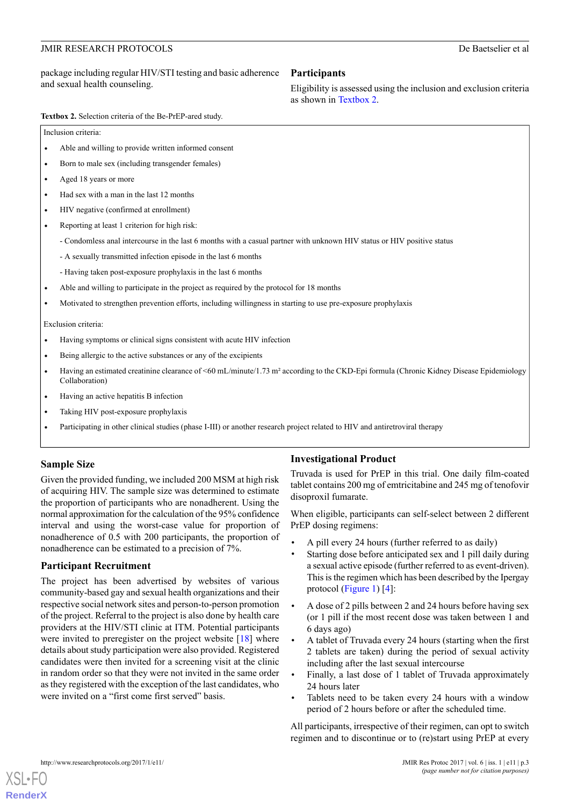#### package including regular HIV/STI testing and basic adherence and sexual health counseling.

#### **Participants**

Eligibility is assessed using the inclusion and exclusion criteria as shown in [Textbox 2](#page-2-0).

<span id="page-2-0"></span>**Textbox 2.** Selection criteria of the Be-PrEP-ared study.

Inclusion criteria:

- Able and willing to provide written informed consent
- Born to male sex (including transgender females)
- Aged 18 years or more
- Had sex with a man in the last 12 months
- HIV negative (confirmed at enrollment)
- Reporting at least 1 criterion for high risk:
	- Condomless anal intercourse in the last 6 months with a casual partner with unknown HIV status or HIV positive status
	- A sexually transmitted infection episode in the last 6 months
	- Having taken post-exposure prophylaxis in the last 6 months
- Able and willing to participate in the project as required by the protocol for 18 months
- Motivated to strengthen prevention efforts, including willingness in starting to use pre-exposure prophylaxis

Exclusion criteria:

- Having symptoms or clinical signs consistent with acute HIV infection
- Being allergic to the active substances or any of the excipients
- Having an estimated creatinine clearance of <60 mL/minute/1.73 m<sup>2</sup> according to the CKD-Epi formula (Chronic Kidney Disease Epidemiology Collaboration)
- Having an active hepatitis B infection
- Taking HIV post-exposure prophylaxis
- Participating in other clinical studies (phase I-III) or another research project related to HIV and antiretroviral therapy

## **Sample Size**

Given the provided funding, we included 200 MSM at high risk of acquiring HIV. The sample size was determined to estimate the proportion of participants who are nonadherent. Using the normal approximation for the calculation of the 95% confidence interval and using the worst-case value for proportion of nonadherence of 0.5 with 200 participants, the proportion of nonadherence can be estimated to a precision of 7%.

#### **Participant Recruitment**

The project has been advertised by websites of various community-based gay and sexual health organizations and their respective social network sites and person-to-person promotion of the project. Referral to the project is also done by health care providers at the HIV/STI clinic at ITM. Potential participants were invited to preregister on the project website  $[18]$  $[18]$  where details about study participation were also provided. Registered candidates were then invited for a screening visit at the clinic in random order so that they were not invited in the same order as they registered with the exception of the last candidates, who were invited on a "first come first served" basis.

## **Investigational Product**

Truvada is used for PrEP in this trial. One daily film-coated tablet contains 200 mg of emtricitabine and 245 mg of tenofovir disoproxil fumarate.

When eligible, participants can self-select between 2 different PrEP dosing regimens:

- A pill every 24 hours (further referred to as daily)
- Starting dose before anticipated sex and 1 pill daily during a sexual active episode (further referred to as event-driven). This is the regimen which has been described by the Ipergay protocol ([Figure 1](#page-3-0)) [\[4\]](#page-10-2):
- A dose of 2 pills between 2 and 24 hours before having sex (or 1 pill if the most recent dose was taken between 1 and 6 days ago)
- A tablet of Truvada every 24 hours (starting when the first 2 tablets are taken) during the period of sexual activity including after the last sexual intercourse
- Finally, a last dose of 1 tablet of Truvada approximately 24 hours later
- Tablets need to be taken every 24 hours with a window period of 2 hours before or after the scheduled time.

All participants, irrespective of their regimen, can opt to switch regimen and to discontinue or to (re)start using PrEP at every

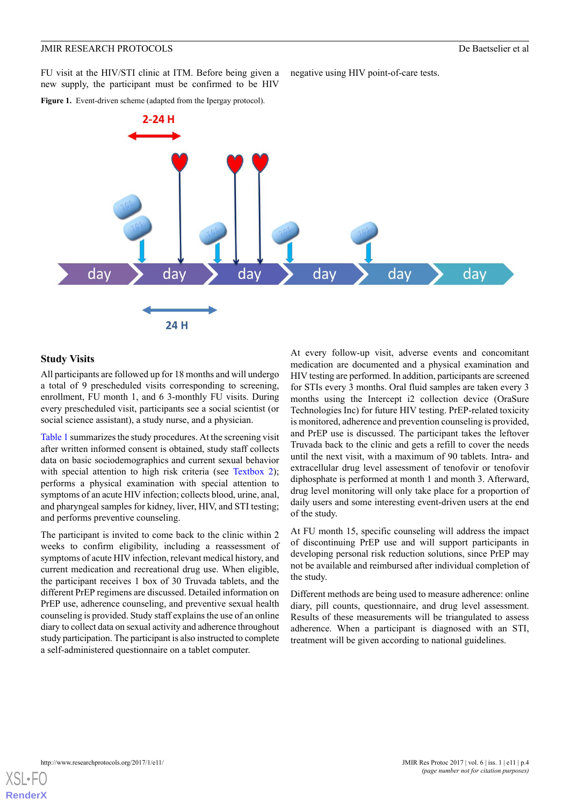FU visit at the HIV/STI clinic at ITM. Before being given a new supply, the participant must be confirmed to be HIV

<span id="page-3-0"></span>Figure 1. Event-driven scheme (adapted from the Ipergay protocol).



negative using HIV point-of-care tests.

#### **Study Visits**

All participants are followed up for 18 months and will undergo a total of 9 prescheduled visits corresponding to screening, enrollment, FU month 1, and 6 3-monthly FU visits. During every prescheduled visit, participants see a social scientist (or social science assistant), a study nurse, and a physician.

[Table 1](#page-4-0) summarizes the study procedures. At the screening visit after written informed consent is obtained, study staff collects data on basic sociodemographics and current sexual behavior with special attention to high risk criteria (see [Textbox 2\)](#page-2-0); performs a physical examination with special attention to symptoms of an acute HIV infection; collects blood, urine, anal, and pharyngeal samples for kidney, liver, HIV, and STI testing; and performs preventive counseling.

The participant is invited to come back to the clinic within 2 weeks to confirm eligibility, including a reassessment of symptoms of acute HIV infection, relevant medical history, and current medication and recreational drug use. When eligible, the participant receives 1 box of 30 Truvada tablets, and the different PrEP regimens are discussed. Detailed information on PrEP use, adherence counseling, and preventive sexual health counseling is provided. Study staff explains the use of an online diary to collect data on sexual activity and adherence throughout study participation. The participant is also instructed to complete a self-administered questionnaire on a tablet computer.

At every follow-up visit, adverse events and concomitant medication are documented and a physical examination and HIV testing are performed. In addition, participants are screened for STIs every 3 months. Oral fluid samples are taken every 3 months using the Intercept i2 collection device (OraSure Technologies Inc) for future HIV testing. PrEP-related toxicity is monitored, adherence and prevention counseling is provided, and PrEP use is discussed. The participant takes the leftover Truvada back to the clinic and gets a refill to cover the needs until the next visit, with a maximum of 90 tablets. Intra- and extracellular drug level assessment of tenofovir or tenofovir diphosphate is performed at month 1 and month 3. Afterward, drug level monitoring will only take place for a proportion of daily users and some interesting event-driven users at the end of the study.

At FU month 15, specific counseling will address the impact of discontinuing PrEP use and will support participants in developing personal risk reduction solutions, since PrEP may not be available and reimbursed after individual completion of the study.

Different methods are being used to measure adherence: online diary, pill counts, questionnaire, and drug level assessment. Results of these measurements will be triangulated to assess adherence. When a participant is diagnosed with an STI, treatment will be given according to national guidelines.

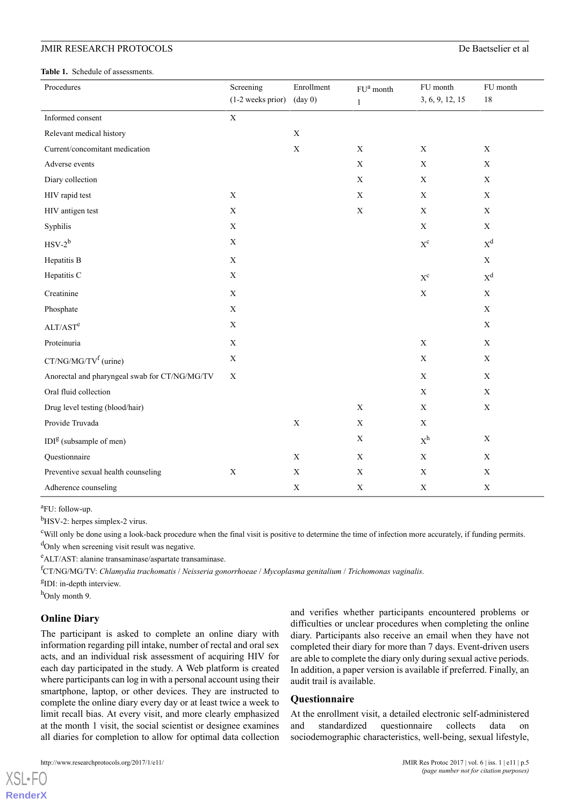<span id="page-4-0"></span>**Table 1.** Schedule of assessments.

| Procedures                                    | Screening         | Enrollment        | ${\rm FU}^{\rm a}$ month | FU month                | FU month    |
|-----------------------------------------------|-------------------|-------------------|--------------------------|-------------------------|-------------|
|                                               | (1-2 weeks prior) | $(\text{day } 0)$ | $\mathbf{1}$             | 3, 6, 9, 12, 15         | $18\,$      |
| Informed consent                              | X                 |                   |                          |                         |             |
| Relevant medical history                      |                   | $\mathbf X$       |                          |                         |             |
| Current/concomitant medication                |                   | $\mathbf X$       | $\mathbf X$              | $\mathbf X$             | $\mathbf X$ |
| Adverse events                                |                   |                   | $\mathbf X$              | $\mathbf X$             | $\mathbf X$ |
| Diary collection                              |                   |                   | $\mathbf X$              | $\mathbf X$             | $\mathbf X$ |
| HIV rapid test                                | $\mathbf X$       |                   | $\mathbf X$              | $\mathbf X$             | $\mathbf X$ |
| HIV antigen test                              | $\mathbf X$       |                   | $\mathbf X$              | $\mathbf X$             | $\mathbf X$ |
| Syphilis                                      | $\mathbf X$       |                   |                          | $\mathbf X$             | $\mathbf X$ |
| $HSV-2^b$                                     | $\mathbf X$       |                   |                          | $X^c$                   | $X^d$       |
| Hepatitis B                                   | $\mathbf X$       |                   |                          |                         | $\mathbf X$ |
| Hepatitis C                                   | $\mathbf X$       |                   |                          | $\mathbf{X}^\mathbf{C}$ | $X^d$       |
| Creatinine                                    | $\mathbf X$       |                   |                          | $\mathbf X$             | $\mathbf X$ |
| Phosphate                                     | $\mathbf X$       |                   |                          |                         | $\mathbf X$ |
| ALT/AST <sup>e</sup>                          | $\mathbf X$       |                   |                          |                         | $\mathbf X$ |
| Proteinuria                                   | $\mathbf X$       |                   |                          | $\mathbf X$             | $\mathbf X$ |
| CT/NG/MG/TV <sup>f</sup> (urine)              | $\mathbf X$       |                   |                          | $\mathbf X$             | $\mathbf X$ |
| Anorectal and pharyngeal swab for CT/NG/MG/TV | $\mathbf X$       |                   |                          | $\mathbf X$             | $\mathbf X$ |
| Oral fluid collection                         |                   |                   |                          | $\mathbf X$             | $\mathbf X$ |
| Drug level testing (blood/hair)               |                   |                   | $\mathbf X$              | $\mathbf X$             | $\mathbf X$ |
| Provide Truvada                               |                   | $\mathbf X$       | $\mathbf X$              | $\mathbf X$             |             |
| $IDIg$ (subsample of men)                     |                   |                   | $\mathbf X$              | $\mathbf{X}^\text{h}$   | $\mathbf X$ |
| Questionnaire                                 |                   | $\mathbf X$       | $\mathbf X$              | X                       | $\mathbf X$ |
| Preventive sexual health counseling           | $\mathbf X$       | $\mathbf X$       | $\mathbf X$              | $\mathbf X$             | $\mathbf X$ |
| Adherence counseling                          |                   | $\mathbf X$       | $\mathbf X$              | $\mathbf X$             | $\mathbf X$ |

<sup>a</sup>FU: follow-up.

 $<sup>b</sup>$ HSV-2: herpes simplex-2 virus.</sup>

<sup>c</sup>Will only be done using a look-back procedure when the final visit is positive to determine the time of infection more accurately, if funding permits. <sup>d</sup>Only when screening visit result was negative.

<sup>e</sup>ALT/AST: alanine transaminase/aspartate transaminase.

<sup>f</sup>CT/NG/MG/TV: *Chlamydia trachomatis* / *Neisseria gonorrhoeae* / *Mycoplasma genitalium* / *Trichomonas vaginalis*.

<sup>g</sup>IDI: in-depth interview.

 $h$ Only month 9.

[XSL](http://www.w3.org/Style/XSL)•FO **[RenderX](http://www.renderx.com/)**

## **Online Diary**

The participant is asked to complete an online diary with information regarding pill intake, number of rectal and oral sex acts, and an individual risk assessment of acquiring HIV for each day participated in the study. A Web platform is created where participants can log in with a personal account using their smartphone, laptop, or other devices. They are instructed to complete the online diary every day or at least twice a week to limit recall bias. At every visit, and more clearly emphasized at the month 1 visit, the social scientist or designee examines all diaries for completion to allow for optimal data collection

and verifies whether participants encountered problems or difficulties or unclear procedures when completing the online diary. Participants also receive an email when they have not completed their diary for more than 7 days. Event-driven users are able to complete the diary only during sexual active periods. In addition, a paper version is available if preferred. Finally, an audit trail is available.

#### **Questionnaire**

At the enrollment visit, a detailed electronic self-administered and standardized questionnaire collects data on sociodemographic characteristics, well-being, sexual lifestyle,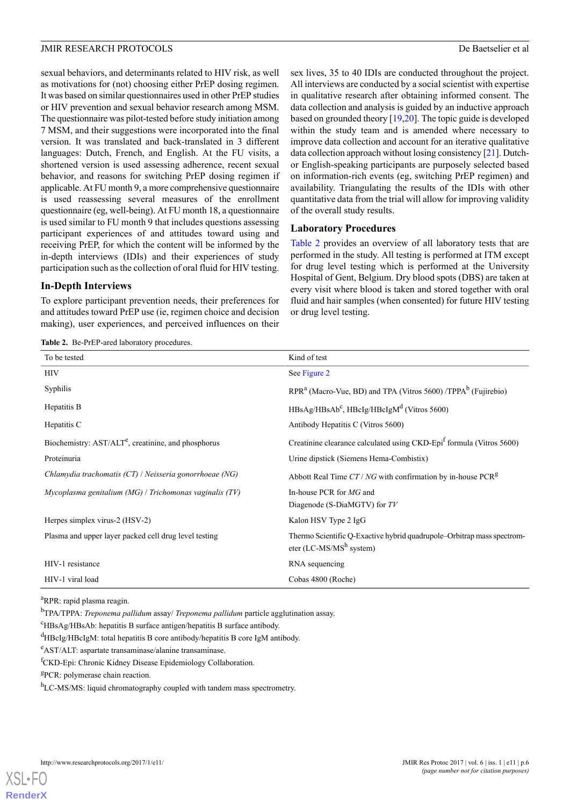sexual behaviors, and determinants related to HIV risk, as well as motivations for (not) choosing either PrEP dosing regimen. It was based on similar questionnaires used in other PrEP studies or HIV prevention and sexual behavior research among MSM. The questionnaire was pilot-tested before study initiation among 7 MSM, and their suggestions were incorporated into the final version. It was translated and back-translated in 3 different languages: Dutch, French, and English. At the FU visits, a shortened version is used assessing adherence, recent sexual behavior, and reasons for switching PrEP dosing regimen if applicable. At FU month 9, a more comprehensive questionnaire is used reassessing several measures of the enrollment questionnaire (eg, well-being). At FU month 18, a questionnaire is used similar to FU month 9 that includes questions assessing participant experiences of and attitudes toward using and receiving PrEP, for which the content will be informed by the in-depth interviews (IDIs) and their experiences of study participation such as the collection of oral fluid for HIV testing.

#### **In-Depth Interviews**

<span id="page-5-0"></span>To explore participant prevention needs, their preferences for and attitudes toward PrEP use (ie, regimen choice and decision making), user experiences, and perceived influences on their

**Table 2.** Be-PrEP-ared laboratory procedures.

sex lives, 35 to 40 IDIs are conducted throughout the project. All interviews are conducted by a social scientist with expertise in qualitative research after obtaining informed consent. The data collection and analysis is guided by an inductive approach based on grounded theory [\[19](#page-10-17),[20](#page-10-18)]. The topic guide is developed within the study team and is amended where necessary to improve data collection and account for an iterative qualitative data collection approach without losing consistency [\[21\]](#page-10-19). Dutchor English-speaking participants are purposely selected based on information-rich events (eg, switching PrEP regimen) and availability. Triangulating the results of the IDIs with other quantitative data from the trial will allow for improving validity of the overall study results.

#### **Laboratory Procedures**

[Table 2](#page-5-0) provides an overview of all laboratory tests that are performed in the study. All testing is performed at ITM except for drug level testing which is performed at the University Hospital of Gent, Belgium. Dry blood spots (DBS) are taken at every visit where blood is taken and stored together with oral fluid and hair samples (when consented) for future HIV testing or drug level testing.

| To be tested                                                    | Kind of test                                                                                         |
|-----------------------------------------------------------------|------------------------------------------------------------------------------------------------------|
| HIV                                                             | See Figure 2                                                                                         |
| Syphilis                                                        | $RPRa$ (Macro-Vue, BD) and TPA (Vitros 5600) /TPPA <sup>b</sup> (Fujirebio)                          |
| Hepatitis B                                                     | $HBsAg/HBsAb^c$ , $HBeIg/HBeIgMd$ (Vitros 5600)                                                      |
| Hepatitis C                                                     | Antibody Hepatitis C (Vitros 5600)                                                                   |
| Biochemistry: AST/ALT <sup>e</sup> , creatinine, and phosphorus | Creatinine clearance calculated using CKD-Epi <sup>f</sup> formula (Vitros 5600)                     |
| Proteinuria                                                     | Urine dipstick (Siemens Hema-Combistix)                                                              |
| Chlamydia trachomatis (CT) / Neisseria gonorrhoeae (NG)         | Abbott Real Time $CT/NG$ with confirmation by in-house PCR <sup>g</sup>                              |
| $Mycoplasma$ genitalium (MG) / Trichomonas vaginalis (TV)       | In-house PCR for MG and                                                                              |
|                                                                 | Diagenode (S-DiaMGTV) for TV                                                                         |
| Herpes simplex virus-2 (HSV-2)                                  | Kalon HSV Type 2 IgG                                                                                 |
| Plasma and upper layer packed cell drug level testing           | Thermo Scientific Q-Exactive hybrid quadrupole-Orbitrap mass spectrom-<br>eter (LC-MS/MS $h$ system) |
| HIV-1 resistance                                                | RNA sequencing                                                                                       |
| HIV-1 viral load                                                | Cobas 4800 (Roche)                                                                                   |

<sup>a</sup>RPR: rapid plasma reagin.

<sup>b</sup>TPA/TPPA: *Treponema pallidum* assay/ *Treponema pallidum* particle agglutination assay.

<sup>c</sup>HBsAg/HBsAb: hepatitis B surface antigen/hepatitis B surface antibody.

<sup>d</sup>HBcIg/HBcIgM: total hepatitis B core antibody/hepatitis B core IgM antibody.

<sup>e</sup>AST/ALT: aspartate transaminase/alanine transaminase.

<sup>f</sup>CKD-Epi: Chronic Kidney Disease Epidemiology Collaboration.

<sup>g</sup>PCR: polymerase chain reaction.

h<sub>LC-MS/MS</sub>: liquid chromatography coupled with tandem mass spectrometry.

[XSL](http://www.w3.org/Style/XSL)•FO **[RenderX](http://www.renderx.com/)**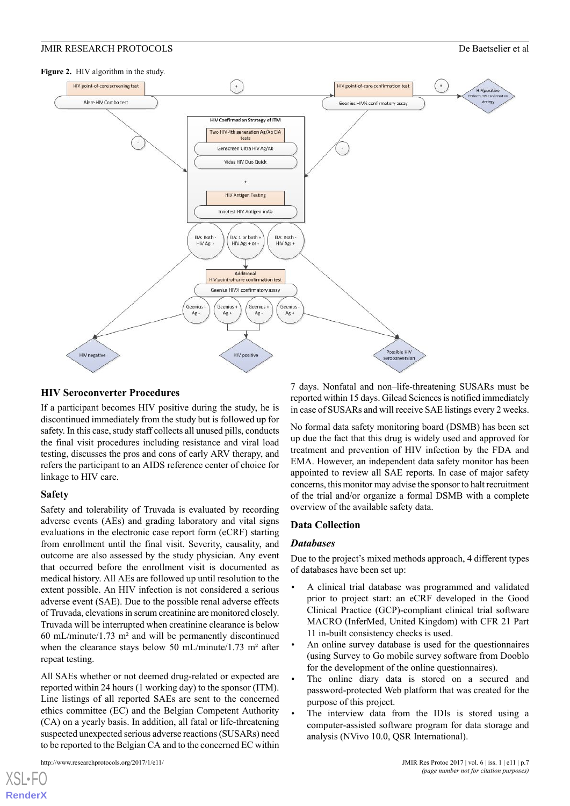<span id="page-6-0"></span>

#### **HIV Seroconverter Procedures**

If a participant becomes HIV positive during the study, he is discontinued immediately from the study but is followed up for safety. In this case, study staff collects all unused pills, conducts the final visit procedures including resistance and viral load testing, discusses the pros and cons of early ARV therapy, and refers the participant to an AIDS reference center of choice for linkage to HIV care.

#### **Safety**

Safety and tolerability of Truvada is evaluated by recording adverse events (AEs) and grading laboratory and vital signs evaluations in the electronic case report form (eCRF) starting from enrollment until the final visit. Severity, causality, and outcome are also assessed by the study physician. Any event that occurred before the enrollment visit is documented as medical history. All AEs are followed up until resolution to the extent possible. An HIV infection is not considered a serious adverse event (SAE). Due to the possible renal adverse effects of Truvada, elevations in serum creatinine are monitored closely. Truvada will be interrupted when creatinine clearance is below 60 mL/minute/1.73 m² and will be permanently discontinued when the clearance stays below 50 mL/minute/1.73 m<sup>2</sup> after repeat testing.

All SAEs whether or not deemed drug-related or expected are reported within 24 hours (1 working day) to the sponsor (ITM). Line listings of all reported SAEs are sent to the concerned ethics committee (EC) and the Belgian Competent Authority (CA) on a yearly basis. In addition, all fatal or life-threatening suspected unexpected serious adverse reactions (SUSARs) need to be reported to the Belgian CA and to the concerned EC within

[XSL](http://www.w3.org/Style/XSL)•FO **[RenderX](http://www.renderx.com/)**

7 days. Nonfatal and non–life-threatening SUSARs must be reported within 15 days. Gilead Sciences is notified immediately in case of SUSARs and will receive SAE listings every 2 weeks.

No formal data safety monitoring board (DSMB) has been set up due the fact that this drug is widely used and approved for treatment and prevention of HIV infection by the FDA and EMA. However, an independent data safety monitor has been appointed to review all SAE reports. In case of major safety concerns, this monitor may advise the sponsor to halt recruitment of the trial and/or organize a formal DSMB with a complete overview of the available safety data.

#### **Data Collection**

#### *Databases*

Due to the project's mixed methods approach, 4 different types of databases have been set up:

- A clinical trial database was programmed and validated prior to project start: an eCRF developed in the Good Clinical Practice (GCP)-compliant clinical trial software MACRO (InferMed, United Kingdom) with CFR 21 Part 11 in-built consistency checks is used.
- An online survey database is used for the questionnaires (using Survey to Go mobile survey software from Dooblo for the development of the online questionnaires).
- The online diary data is stored on a secured and password-protected Web platform that was created for the purpose of this project.
- The interview data from the IDIs is stored using a computer-assisted software program for data storage and analysis (NVivo 10.0, QSR International).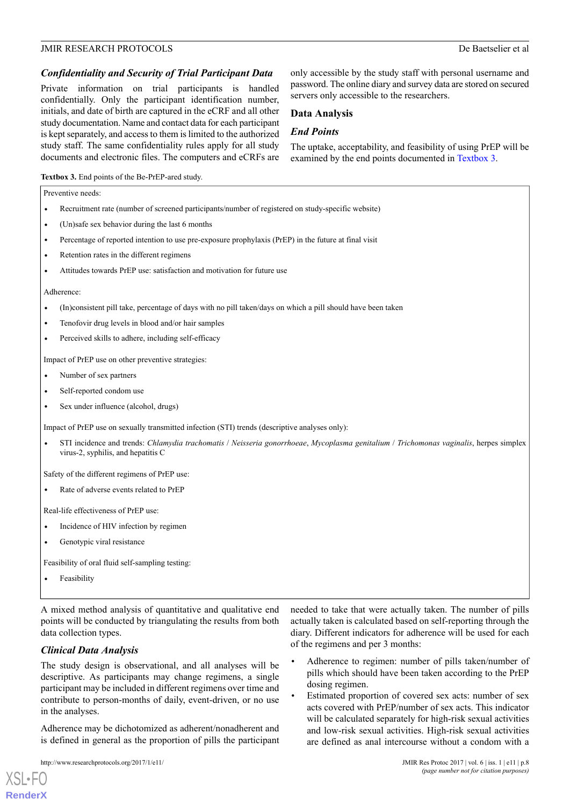#### *Confidentiality and Security of Trial Participant Data*

Private information on trial participants is handled confidentially. Only the participant identification number, initials, and date of birth are captured in the eCRF and all other study documentation. Name and contact data for each participant is kept separately, and access to them is limited to the authorized study staff. The same confidentiality rules apply for all study documents and electronic files. The computers and eCRFs are

only accessible by the study staff with personal username and password. The online diary and survey data are stored on secured servers only accessible to the researchers.

#### **Data Analysis**

#### *End Points*

The uptake, acceptability, and feasibility of using PrEP will be examined by the end points documented in [Textbox 3.](#page-7-0)

#### <span id="page-7-0"></span>**Textbox 3.** End points of the Be-PrEP-ared study.

|           | Preventive needs:                                                                                                                                                            |
|-----------|------------------------------------------------------------------------------------------------------------------------------------------------------------------------------|
| $\bullet$ | Recruitment rate (number of screened participants/number of registered on study-specific website)                                                                            |
| $\bullet$ | (Un)safe sex behavior during the last 6 months                                                                                                                               |
| $\bullet$ | Percentage of reported intention to use pre-exposure prophylaxis (PrEP) in the future at final visit                                                                         |
| $\bullet$ | Retention rates in the different regimens                                                                                                                                    |
| $\bullet$ | Attitudes towards PrEP use: satisfaction and motivation for future use                                                                                                       |
|           | Adherence:                                                                                                                                                                   |
| $\bullet$ | (In)consistent pill take, percentage of days with no pill taken/days on which a pill should have been taken                                                                  |
| $\bullet$ | Tenofovir drug levels in blood and/or hair samples                                                                                                                           |
| $\bullet$ | Perceived skills to adhere, including self-efficacy                                                                                                                          |
|           | Impact of PrEP use on other preventive strategies:                                                                                                                           |
| $\bullet$ | Number of sex partners                                                                                                                                                       |
| $\bullet$ | Self-reported condom use                                                                                                                                                     |
| $\bullet$ | Sex under influence (alcohol, drugs)                                                                                                                                         |
|           | Impact of PrEP use on sexually transmitted infection (STI) trends (descriptive analyses only):                                                                               |
|           | STI incidence and trends: Chlamydia trachomatis / Neisseria gonorrhoeae, Mycoplasma genitalium / Trichomonas vaginalis, herpes simplex<br>virus-2, syphilis, and hepatitis C |
|           | Safety of the different regimens of PrEP use:                                                                                                                                |
|           | Rate of adverse events related to PrEP                                                                                                                                       |
|           | Real-life effectiveness of PrEP use:                                                                                                                                         |
| $\bullet$ | Incidence of HIV infection by regimen                                                                                                                                        |
| $\bullet$ | Genotypic viral resistance                                                                                                                                                   |
|           | Feasibility of oral fluid self-sampling testing:                                                                                                                             |
|           | Feasibility                                                                                                                                                                  |

A mixed method analysis of quantitative and qualitative end points will be conducted by triangulating the results from both data collection types.

#### *Clinical Data Analysis*

The study design is observational, and all analyses will be descriptive. As participants may change regimens, a single participant may be included in different regimens over time and contribute to person-months of daily, event-driven, or no use in the analyses.

Adherence may be dichotomized as adherent/nonadherent and is defined in general as the proportion of pills the participant

```
http://www.researchprotocols.org/2017/1/e11/ JMIR Res Protoc 2017 | vol. 6 | iss. 1 | e11 | p.8
```
[XSL](http://www.w3.org/Style/XSL)•FO **[RenderX](http://www.renderx.com/)**

er of pills actually taken is calculated based on self-reporting through the diary. Different indicators for adherence will be used for each of the regimens and per 3 months:

- Adherence to regimen: number of pills taken/number of pills which should have been taken according to the PrEP dosing regimen.
- Estimated proportion of covered sex acts: number of sex acts covered with PrEP/number of sex acts. This indicator will be calculated separately for high-risk sexual activities and low-risk sexual activities. High-risk sexual activities are defined as anal intercourse without a condom with a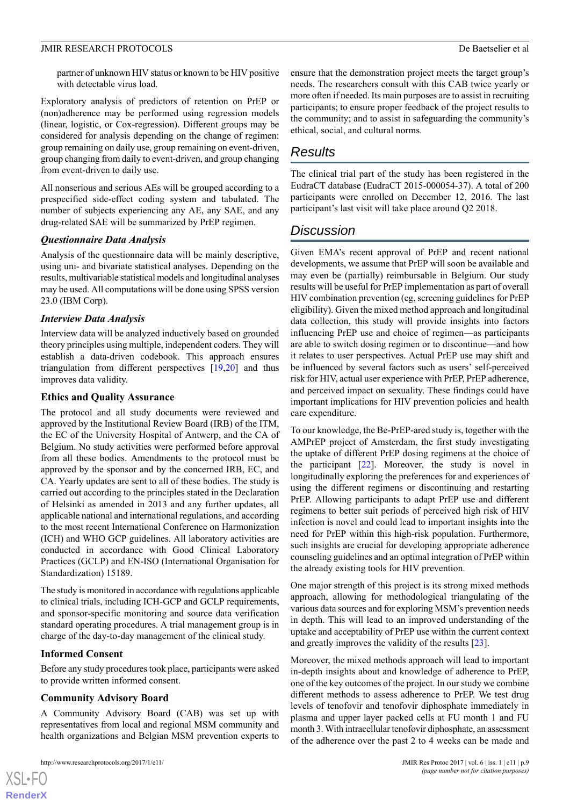partner of unknown HIV status or known to be HIV positive with detectable virus load.

Exploratory analysis of predictors of retention on PrEP or (non)adherence may be performed using regression models (linear, logistic, or Cox-regression). Different groups may be considered for analysis depending on the change of regimen: group remaining on daily use, group remaining on event-driven, group changing from daily to event-driven, and group changing from event-driven to daily use.

All nonserious and serious AEs will be grouped according to a prespecified side-effect coding system and tabulated. The number of subjects experiencing any AE, any SAE, and any drug-related SAE will be summarized by PrEP regimen.

#### *Questionnaire Data Analysis*

Analysis of the questionnaire data will be mainly descriptive, using uni- and bivariate statistical analyses. Depending on the results, multivariable statistical models and longitudinal analyses may be used. All computations will be done using SPSS version 23.0 (IBM Corp).

#### *Interview Data Analysis*

Interview data will be analyzed inductively based on grounded theory principles using multiple, independent coders. They will establish a data-driven codebook. This approach ensures triangulation from different perspectives [\[19](#page-10-17),[20\]](#page-10-18) and thus improves data validity.

#### **Ethics and Quality Assurance**

The protocol and all study documents were reviewed and approved by the Institutional Review Board (IRB) of the ITM, the EC of the University Hospital of Antwerp, and the CA of Belgium. No study activities were performed before approval from all these bodies. Amendments to the protocol must be approved by the sponsor and by the concerned IRB, EC, and CA. Yearly updates are sent to all of these bodies. The study is carried out according to the principles stated in the Declaration of Helsinki as amended in 2013 and any further updates, all applicable national and international regulations, and according to the most recent International Conference on Harmonization (ICH) and WHO GCP guidelines. All laboratory activities are conducted in accordance with Good Clinical Laboratory Practices (GCLP) and EN-ISO (International Organisation for Standardization) 15189.

The study is monitored in accordance with regulations applicable to clinical trials, including ICH-GCP and GCLP requirements, and sponsor-specific monitoring and source data verification standard operating procedures. A trial management group is in charge of the day-to-day management of the clinical study.

## **Informed Consent**

Before any study procedures took place, participants were asked to provide written informed consent.

## **Community Advisory Board**

A Community Advisory Board (CAB) was set up with representatives from local and regional MSM community and health organizations and Belgian MSM prevention experts to

```
http://www.researchprotocols.org/2017/1/e11/ JMIR Res Protoc 2017 | vol. 6 | iss. 1 | e11 | p.9
```
 $XS$  $\cdot$ FC **[RenderX](http://www.renderx.com/)** ensure that the demonstration project meets the target group's needs. The researchers consult with this CAB twice yearly or more often if needed. Its main purposes are to assist in recruiting participants; to ensure proper feedback of the project results to the community; and to assist in safeguarding the community's ethical, social, and cultural norms.

## *Results*

The clinical trial part of the study has been registered in the EudraCT database (EudraCT 2015-000054-37). A total of 200 participants were enrolled on December 12, 2016. The last participant's last visit will take place around Q2 2018.

## *Discussion*

Given EMA's recent approval of PrEP and recent national developments, we assume that PrEP will soon be available and may even be (partially) reimbursable in Belgium. Our study results will be useful for PrEP implementation as part of overall HIV combination prevention (eg, screening guidelines for PrEP eligibility). Given the mixed method approach and longitudinal data collection, this study will provide insights into factors influencing PrEP use and choice of regimen—as participants are able to switch dosing regimen or to discontinue—and how it relates to user perspectives. Actual PrEP use may shift and be influenced by several factors such as users' self-perceived risk for HIV, actual user experience with PrEP, PrEP adherence, and perceived impact on sexuality. These findings could have important implications for HIV prevention policies and health care expenditure.

To our knowledge, the Be-PrEP-ared study is, together with the AMPrEP project of Amsterdam, the first study investigating the uptake of different PrEP dosing regimens at the choice of the participant [[22\]](#page-10-20). Moreover, the study is novel in longitudinally exploring the preferences for and experiences of using the different regimens or discontinuing and restarting PrEP. Allowing participants to adapt PrEP use and different regimens to better suit periods of perceived high risk of HIV infection is novel and could lead to important insights into the need for PrEP within this high-risk population. Furthermore, such insights are crucial for developing appropriate adherence counseling guidelines and an optimal integration of PrEP within the already existing tools for HIV prevention.

One major strength of this project is its strong mixed methods approach, allowing for methodological triangulating of the various data sources and for exploring MSM's prevention needs in depth. This will lead to an improved understanding of the uptake and acceptability of PrEP use within the current context and greatly improves the validity of the results [[23\]](#page-11-0).

Moreover, the mixed methods approach will lead to important in-depth insights about and knowledge of adherence to PrEP, one of the key outcomes of the project. In our study we combine different methods to assess adherence to PrEP. We test drug levels of tenofovir and tenofovir diphosphate immediately in plasma and upper layer packed cells at FU month 1 and FU month 3. With intracellular tenofovir diphosphate, an assessment of the adherence over the past 2 to 4 weeks can be made and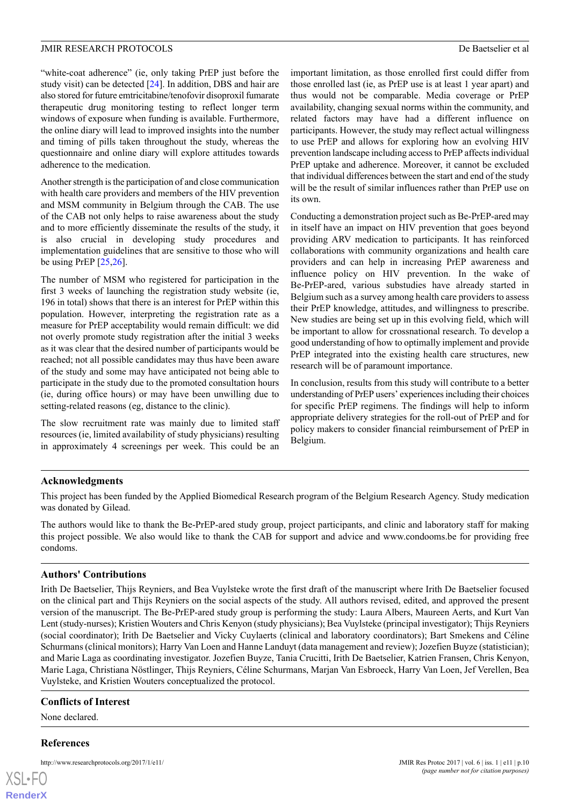"white-coat adherence" (ie, only taking PrEP just before the study visit) can be detected [\[24](#page-11-1)]. In addition, DBS and hair are also stored for future emtricitabine/tenofovir disoproxil fumarate therapeutic drug monitoring testing to reflect longer term windows of exposure when funding is available. Furthermore, the online diary will lead to improved insights into the number and timing of pills taken throughout the study, whereas the questionnaire and online diary will explore attitudes towards adherence to the medication.

Another strength is the participation of and close communication with health care providers and members of the HIV prevention and MSM community in Belgium through the CAB. The use of the CAB not only helps to raise awareness about the study and to more efficiently disseminate the results of the study, it is also crucial in developing study procedures and implementation guidelines that are sensitive to those who will be using PrEP  $[25,26]$  $[25,26]$  $[25,26]$ .

The number of MSM who registered for participation in the first 3 weeks of launching the registration study website (ie, 196 in total) shows that there is an interest for PrEP within this population. However, interpreting the registration rate as a measure for PrEP acceptability would remain difficult: we did not overly promote study registration after the initial 3 weeks as it was clear that the desired number of participants would be reached; not all possible candidates may thus have been aware of the study and some may have anticipated not being able to participate in the study due to the promoted consultation hours (ie, during office hours) or may have been unwilling due to setting-related reasons (eg, distance to the clinic).

The slow recruitment rate was mainly due to limited staff resources (ie, limited availability of study physicians) resulting in approximately 4 screenings per week. This could be an

important limitation, as those enrolled first could differ from those enrolled last (ie, as PrEP use is at least 1 year apart) and thus would not be comparable. Media coverage or PrEP availability, changing sexual norms within the community, and related factors may have had a different influence on participants. However, the study may reflect actual willingness to use PrEP and allows for exploring how an evolving HIV prevention landscape including access to PrEP affects individual PrEP uptake and adherence. Moreover, it cannot be excluded that individual differences between the start and end of the study will be the result of similar influences rather than PrEP use on its own.

Conducting a demonstration project such as Be-PrEP-ared may in itself have an impact on HIV prevention that goes beyond providing ARV medication to participants. It has reinforced collaborations with community organizations and health care providers and can help in increasing PrEP awareness and influence policy on HIV prevention. In the wake of Be-PrEP-ared, various substudies have already started in Belgium such as a survey among health care providers to assess their PrEP knowledge, attitudes, and willingness to prescribe. New studies are being set up in this evolving field, which will be important to allow for crossnational research. To develop a good understanding of how to optimally implement and provide PrEP integrated into the existing health care structures, new research will be of paramount importance.

In conclusion, results from this study will contribute to a better understanding of PrEP users' experiences including their choices for specific PrEP regimens. The findings will help to inform appropriate delivery strategies for the roll-out of PrEP and for policy makers to consider financial reimbursement of PrEP in Belgium.

#### **Acknowledgments**

This project has been funded by the Applied Biomedical Research program of the Belgium Research Agency. Study medication was donated by Gilead.

The authors would like to thank the Be-PrEP-ared study group, project participants, and clinic and laboratory staff for making this project possible. We also would like to thank the CAB for support and advice and www.condooms.be for providing free condoms.

#### **Authors' Contributions**

Irith De Baetselier, Thijs Reyniers, and Bea Vuylsteke wrote the first draft of the manuscript where Irith De Baetselier focused on the clinical part and Thijs Reyniers on the social aspects of the study. All authors revised, edited, and approved the present version of the manuscript. The Be-PrEP-ared study group is performing the study: Laura Albers, Maureen Aerts, and Kurt Van Lent (study-nurses); Kristien Wouters and Chris Kenyon (study physicians); Bea Vuylsteke (principal investigator); Thijs Reyniers (social coordinator); Irith De Baetselier and Vicky Cuylaerts (clinical and laboratory coordinators); Bart Smekens and Céline Schurmans (clinical monitors); Harry Van Loen and Hanne Landuyt (data management and review); Jozefien Buyze (statistician); and Marie Laga as coordinating investigator. Jozefien Buyze, Tania Crucitti, Irith De Baetselier, Katrien Fransen, Chris Kenyon, Marie Laga, Christiana Nöstlinger, Thijs Reyniers, Céline Schurmans, Marjan Van Esbroeck, Harry Van Loen, Jef Verellen, Bea Vuylsteke, and Kristien Wouters conceptualized the protocol.

#### **Conflicts of Interest**

None declared.

#### **References**

| XSL•FO         |  |
|----------------|--|
| <b>RenderX</b> |  |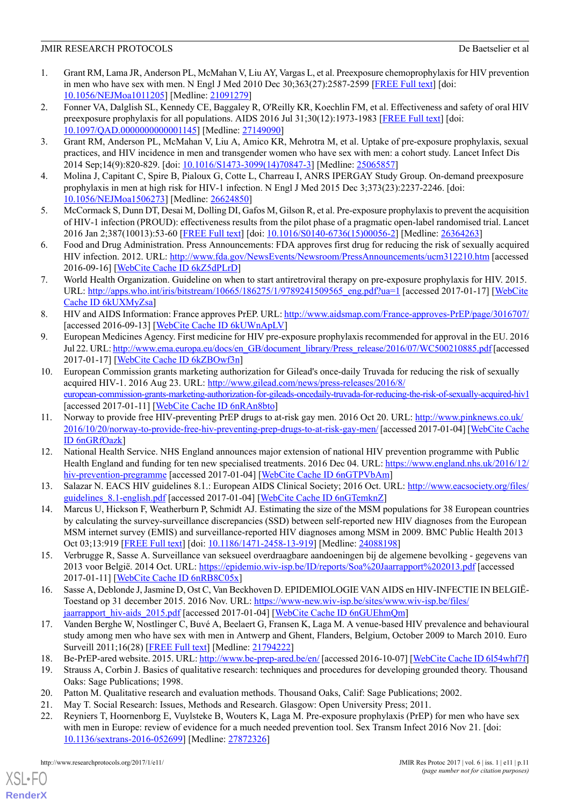- <span id="page-10-0"></span>1. Grant RM, Lama JR, Anderson PL, McMahan V, Liu AY, Vargas L, et al. Preexposure chemoprophylaxis for HIV prevention in men who have sex with men. N Engl J Med 2010 Dec 30;363(27):2587-2599 [[FREE Full text](http://europepmc.org/abstract/MED/21091279)] [doi: [10.1056/NEJMoa1011205\]](http://dx.doi.org/10.1056/NEJMoa1011205) [Medline: [21091279\]](http://www.ncbi.nlm.nih.gov/entrez/query.fcgi?cmd=Retrieve&db=PubMed&list_uids=21091279&dopt=Abstract)
- 2. Fonner VA, Dalglish SL, Kennedy CE, Baggaley R, O'Reilly KR, Koechlin FM, et al. Effectiveness and safety of oral HIV preexposure prophylaxis for all populations. AIDS 2016 Jul 31;30(12):1973-1983 [[FREE Full text](http://europepmc.org/abstract/MED/27149090)] [doi: [10.1097/QAD.0000000000001145\]](http://dx.doi.org/10.1097/QAD.0000000000001145) [Medline: [27149090](http://www.ncbi.nlm.nih.gov/entrez/query.fcgi?cmd=Retrieve&db=PubMed&list_uids=27149090&dopt=Abstract)]
- <span id="page-10-1"></span>3. Grant RM, Anderson PL, McMahan V, Liu A, Amico KR, Mehrotra M, et al. Uptake of pre-exposure prophylaxis, sexual practices, and HIV incidence in men and transgender women who have sex with men: a cohort study. Lancet Infect Dis 2014 Sep;14(9):820-829. [doi: [10.1016/S1473-3099\(14\)70847-3](http://dx.doi.org/10.1016/S1473-3099(14)70847-3)] [Medline: [25065857\]](http://www.ncbi.nlm.nih.gov/entrez/query.fcgi?cmd=Retrieve&db=PubMed&list_uids=25065857&dopt=Abstract)
- <span id="page-10-3"></span><span id="page-10-2"></span>4. Molina J, Capitant C, Spire B, Pialoux G, Cotte L, Charreau I, ANRS IPERGAY Study Group. On-demand preexposure prophylaxis in men at high risk for HIV-1 infection. N Engl J Med 2015 Dec 3;373(23):2237-2246. [doi: [10.1056/NEJMoa1506273](http://dx.doi.org/10.1056/NEJMoa1506273)] [Medline: [26624850](http://www.ncbi.nlm.nih.gov/entrez/query.fcgi?cmd=Retrieve&db=PubMed&list_uids=26624850&dopt=Abstract)]
- <span id="page-10-4"></span>5. McCormack S, Dunn DT, Desai M, Dolling DI, Gafos M, Gilson R, et al. Pre-exposure prophylaxis to prevent the acquisition of HIV-1 infection (PROUD): effectiveness results from the pilot phase of a pragmatic open-label randomised trial. Lancet 2016 Jan 2;387(10013):53-60 [\[FREE Full text\]](http://linkinghub.elsevier.com/retrieve/pii/S0140-6736(15)00056-2) [doi: [10.1016/S0140-6736\(15\)00056-2](http://dx.doi.org/10.1016/S0140-6736(15)00056-2)] [Medline: [26364263\]](http://www.ncbi.nlm.nih.gov/entrez/query.fcgi?cmd=Retrieve&db=PubMed&list_uids=26364263&dopt=Abstract)
- <span id="page-10-5"></span>6. Food and Drug Administration. Press Announcements: FDA approves first drug for reducing the risk of sexually acquired HIV infection. 2012. URL: <http://www.fda.gov/NewsEvents/Newsroom/PressAnnouncements/ucm312210.htm> [accessed 2016-09-16] [\[WebCite Cache ID 6kZ5dPLrD](http://www.webcitation.org/6kZ5dPLrD)]
- <span id="page-10-6"></span>7. World Health Organization. Guideline on when to start antiretroviral therapy on pre-exposure prophylaxis for HIV. 2015. URL: [http://apps.who.int/iris/bitstream/10665/186275/1/9789241509565\\_eng.pdf?ua=1](http://apps.who.int/iris/bitstream/10665/186275/1/9789241509565_eng.pdf?ua=1) [accessed 2017-01-17] [\[WebCite](http://www.webcitation.org/6kUXMyZsa) [Cache ID 6kUXMyZsa\]](http://www.webcitation.org/6kUXMyZsa)
- <span id="page-10-7"></span>8. HIV and AIDS Information: France approves PrEP. URL:<http://www.aidsmap.com/France-approves-PrEP/page/3016707/> [accessed 2016-09-13] [\[WebCite Cache ID 6kUWnApLV](http://www.webcitation.org/6kUWnApLV)]
- <span id="page-10-8"></span>9. European Medicines Agency. First medicine for HIV pre-exposure prophylaxis recommended for approval in the EU. 2016 Jul 22. URL: [http://www.ema.europa.eu/docs/en\\_GB/document\\_library/Press\\_release/2016/07/WC500210885.pdf](http://www.ema.europa.eu/docs/en_GB/document_library/Press_release/2016/07/WC500210885.pdf) [accessed] 2017-01-17] [\[WebCite Cache ID 6kZBOwf3n\]](http://www.webcitation.org/6kZBOwf3n)
- <span id="page-10-9"></span>10. European Commission grants marketing authorization for Gilead's once-daily Truvada for reducing the risk of sexually acquired HIV-1. 2016 Aug 23. URL: [http://www.gilead.com/news/press-releases/2016/8/](http://www.gilead.com/news/press-releases/2016/8/european-commission-grants-marketing-authorization-for-gileads-oncedaily-truvada-for-reducing-the-risk-of-sexually-acquired-hiv1) [european-commission-grants-marketing-authorization-for-gileads-oncedaily-truvada-for-reducing-the-risk-of-sexually-acquired-hiv1](http://www.gilead.com/news/press-releases/2016/8/european-commission-grants-marketing-authorization-for-gileads-oncedaily-truvada-for-reducing-the-risk-of-sexually-acquired-hiv1) [accessed 2017-01-11] [[WebCite Cache ID 6nRAn8bto](http://www.webcitation.org/6nRAn8bto)]
- <span id="page-10-10"></span>11. Norway to provide free HIV-preventing PrEP drugs to at-risk gay men. 2016 Oct 20. URL: [http://www.pinknews.co.uk/](http://www.pinknews.co.uk/2016/10/20/norway-to-provide-free-hiv-preventing-prep-drugs-to-at-risk-gay-men/) [2016/10/20/norway-to-provide-free-hiv-preventing-prep-drugs-to-at-risk-gay-men/](http://www.pinknews.co.uk/2016/10/20/norway-to-provide-free-hiv-preventing-prep-drugs-to-at-risk-gay-men/) [accessed 2017-01-04] [[WebCite Cache](http://www.webcitation.org/6nGRfOazk) [ID 6nGRfOazk\]](http://www.webcitation.org/6nGRfOazk)
- <span id="page-10-12"></span><span id="page-10-11"></span>12. National Health Service. NHS England announces major extension of national HIV prevention programme with Public Health England and funding for ten new specialised treatments. 2016 Dec 04. URL: [https://www.england.nhs.uk/2016/12/](https://www.england.nhs.uk/2016/12/hiv-prevention-pregramme) [hiv-prevention-pregramme](https://www.england.nhs.uk/2016/12/hiv-prevention-pregramme) [accessed 2017-01-04] [\[WebCite Cache ID 6nGTPVbAm](http://www.webcitation.org/6nGTPVbAm)]
- 13. Salazar N. EACS HIV guidelines 8.1.: European AIDS Clinical Society; 2016 Oct. URL: [http://www.eacsociety.org/files/](http://www.eacsociety.org/files/guidelines_8.1-english.pdf) [guidelines\\_8.1-english.pdf](http://www.eacsociety.org/files/guidelines_8.1-english.pdf) [accessed 2017-01-04] [\[WebCite Cache ID 6nGTemknZ\]](http://www.webcitation.org/6nGTemknZ)
- <span id="page-10-14"></span><span id="page-10-13"></span>14. Marcus U, Hickson F, Weatherburn P, Schmidt AJ. Estimating the size of the MSM populations for 38 European countries by calculating the survey-surveillance discrepancies (SSD) between self-reported new HIV diagnoses from the European MSM internet survey (EMIS) and surveillance-reported HIV diagnoses among MSM in 2009. BMC Public Health 2013 Oct 03;13:919 [[FREE Full text](https://bmcpublichealth.biomedcentral.com/articles/10.1186/1471-2458-13-919)] [doi: [10.1186/1471-2458-13-919](http://dx.doi.org/10.1186/1471-2458-13-919)] [Medline: [24088198](http://www.ncbi.nlm.nih.gov/entrez/query.fcgi?cmd=Retrieve&db=PubMed&list_uids=24088198&dopt=Abstract)]
- <span id="page-10-15"></span>15. Verbrugge R, Sasse A. Surveillance van seksueel overdraagbare aandoeningen bij de algemene bevolking - gegevens van 2013 voor België. 2014 Oct. URL:<https://epidemio.wiv-isp.be/ID/reports/Soa%20Jaarrapport%202013.pdf> [accessed 2017-01-11] [[WebCite Cache ID 6nRB8C05x\]](http://www.webcitation.org/6nRB8C05x)
- <span id="page-10-17"></span><span id="page-10-16"></span>16. Sasse A, Deblonde J, Jasmine D, Ost C, Van Beckhoven D. EPIDEMIOLOGIE VAN AIDS en HIV-INFECTIE IN BELGIË-Toestand op 31 december 2015. 2016 Nov. URL: [https://www-new.wiv-isp.be/sites/www.wiv-isp.be/files/](https://www-new.wiv-isp.be/sites/www.wiv-isp.be/files/jaarrapport_hiv-aids_2015.pdf) [jaarrapport\\_hiv-aids\\_2015.pdf](https://www-new.wiv-isp.be/sites/www.wiv-isp.be/files/jaarrapport_hiv-aids_2015.pdf) [accessed 2017-01-04] [\[WebCite Cache ID 6nGUEhmQm](http://www.webcitation.org/6nGUEhmQm)]
- <span id="page-10-19"></span><span id="page-10-18"></span>17. Vanden Berghe W, Nostlinger C, Buvé A, Beelaert G, Fransen K, Laga M. A venue-based HIV prevalence and behavioural study among men who have sex with men in Antwerp and Ghent, Flanders, Belgium, October 2009 to March 2010. Euro Surveill 2011;16(28) [[FREE Full text](http://www.eurosurveillance.org/ViewArticle.aspx?ArticleId=19914)] [Medline: [21794222\]](http://www.ncbi.nlm.nih.gov/entrez/query.fcgi?cmd=Retrieve&db=PubMed&list_uids=21794222&dopt=Abstract)
- <span id="page-10-20"></span>18. Be-PrEP-ared website. 2015. URL:<http://www.be-prep-ared.be/en/> [accessed 2016-10-07] [[WebCite Cache ID 6l54whf7f](http://www.webcitation.org/6l54whf7f)]
- 19. Strauss A, Corbin J. Basics of qualitative research: techniques and procedures for developing grounded theory. Thousand Oaks: Sage Publications; 1998.
- 20. Patton M. Qualitative research and evaluation methods. Thousand Oaks, Calif: Sage Publications; 2002.
- 21. May T. Social Research: Issues, Methods and Research. Glasgow: Open University Press; 2011.
- 22. Reyniers T, Hoornenborg E, Vuylsteke B, Wouters K, Laga M. Pre-exposure prophylaxis (PrEP) for men who have sex with men in Europe: review of evidence for a much needed prevention tool. Sex Transm Infect 2016 Nov 21. [doi: [10.1136/sextrans-2016-052699\]](http://dx.doi.org/10.1136/sextrans-2016-052699) [Medline: [27872326](http://www.ncbi.nlm.nih.gov/entrez/query.fcgi?cmd=Retrieve&db=PubMed&list_uids=27872326&dopt=Abstract)]

[XSL](http://www.w3.org/Style/XSL)•FO **[RenderX](http://www.renderx.com/)**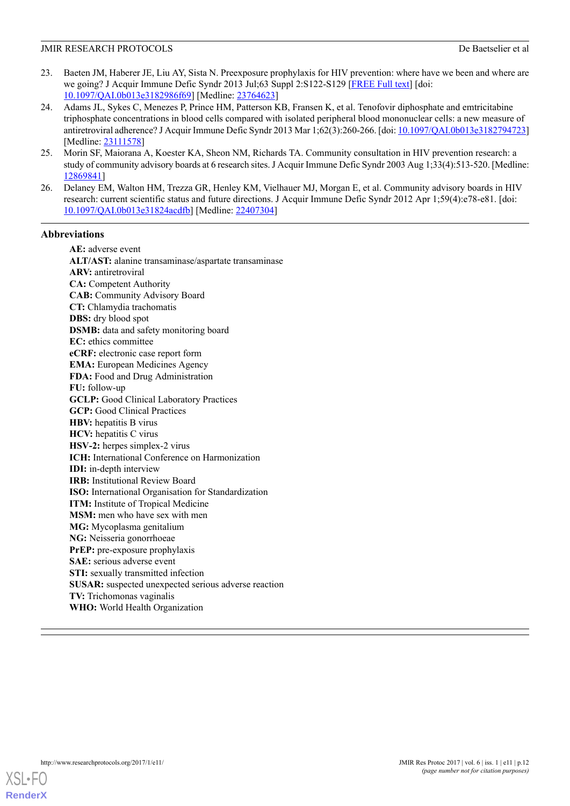- <span id="page-11-0"></span>23. Baeten JM, Haberer JE, Liu AY, Sista N. Preexposure prophylaxis for HIV prevention: where have we been and where are we going? J Acquir Immune Defic Syndr 2013 Jul;63 Suppl 2:S122-S129 [\[FREE Full text\]](http://europepmc.org/abstract/MED/23764623) [doi: [10.1097/QAI.0b013e3182986f69\]](http://dx.doi.org/10.1097/QAI.0b013e3182986f69) [Medline: [23764623\]](http://www.ncbi.nlm.nih.gov/entrez/query.fcgi?cmd=Retrieve&db=PubMed&list_uids=23764623&dopt=Abstract)
- <span id="page-11-1"></span>24. Adams JL, Sykes C, Menezes P, Prince HM, Patterson KB, Fransen K, et al. Tenofovir diphosphate and emtricitabine triphosphate concentrations in blood cells compared with isolated peripheral blood mononuclear cells: a new measure of antiretroviral adherence? J Acquir Immune Defic Syndr 2013 Mar 1;62(3):260-266. [doi: [10.1097/QAI.0b013e3182794723\]](http://dx.doi.org/10.1097/QAI.0b013e3182794723) [Medline: [23111578\]](http://www.ncbi.nlm.nih.gov/entrez/query.fcgi?cmd=Retrieve&db=PubMed&list_uids=23111578&dopt=Abstract)
- <span id="page-11-3"></span><span id="page-11-2"></span>25. Morin SF, Maiorana A, Koester KA, Sheon NM, Richards TA. Community consultation in HIV prevention research: a study of community advisory boards at 6 research sites. J Acquir Immune Defic Syndr 2003 Aug 1;33(4):513-520. [Medline: [12869841](http://www.ncbi.nlm.nih.gov/entrez/query.fcgi?cmd=Retrieve&db=PubMed&list_uids=12869841&dopt=Abstract)]
- 26. Delaney EM, Walton HM, Trezza GR, Henley KM, Vielhauer MJ, Morgan E, et al. Community advisory boards in HIV research: current scientific status and future directions. J Acquir Immune Defic Syndr 2012 Apr 1;59(4):e78-e81. [doi: [10.1097/QAI.0b013e31824acdfb\]](http://dx.doi.org/10.1097/QAI.0b013e31824acdfb) [Medline: [22407304](http://www.ncbi.nlm.nih.gov/entrez/query.fcgi?cmd=Retrieve&db=PubMed&list_uids=22407304&dopt=Abstract)]

## **Abbreviations**

**AE:** adverse event **ALT/AST:** alanine transaminase/aspartate transaminase **ARV:** antiretroviral **CA:** Competent Authority **CAB:** Community Advisory Board **CT:** Chlamydia trachomatis **DBS:** dry blood spot **DSMB:** data and safety monitoring board **EC:** ethics committee **eCRF:** electronic case report form **EMA:** European Medicines Agency **FDA:** Food and Drug Administration **FU:** follow-up **GCLP:** Good Clinical Laboratory Practices **GCP:** Good Clinical Practices **HBV:** hepatitis B virus **HCV:** hepatitis C virus **HSV-2:** herpes simplex-2 virus **ICH:** International Conference on Harmonization **IDI:** in-depth interview **IRB:** Institutional Review Board **ISO:** International Organisation for Standardization **ITM:** Institute of Tropical Medicine **MSM:** men who have sex with men **MG:** Mycoplasma genitalium **NG:** Neisseria gonorrhoeae **PrEP:** pre-exposure prophylaxis **SAE:** serious adverse event **STI:** sexually transmitted infection **SUSAR:** suspected unexpected serious adverse reaction **TV:** Trichomonas vaginalis **WHO:** World Health Organization